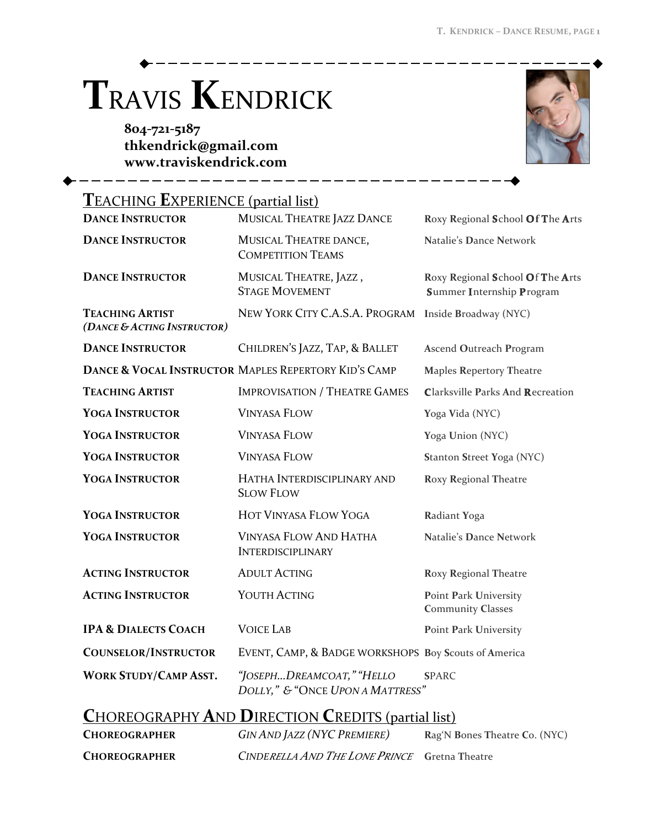## **TRAVIS KENDRICK**

804-721-5187 thkendrick@gmail.com www.traviskendrick.com

**CHOREOGRAPHER** 



| <b>TEACHING EXPERIENCE (partial list)</b>                |                                                               |                                                                      |  |  |
|----------------------------------------------------------|---------------------------------------------------------------|----------------------------------------------------------------------|--|--|
| <b>DANCE INSTRUCTOR</b>                                  | MUSICAL THEATRE JAZZ DANCE                                    | Roxy Regional School Of The Arts                                     |  |  |
| <b>DANCE INSTRUCTOR</b>                                  | MUSICAL THEATRE DANCE,<br><b>COMPETITION TEAMS</b>            | Natalie's Dance Network                                              |  |  |
| <b>DANCE INSTRUCTOR</b>                                  | MUSICAL THEATRE, JAZZ,<br><b>STAGE MOVEMENT</b>               | Roxy Regional School Of The Arts<br><b>Summer Internship Program</b> |  |  |
| <b>TEACHING ARTIST</b><br>(DANCE & ACTING INSTRUCTOR)    | NEW YORK CITY C.A.S.A. PROGRAM                                | Inside Broadway (NYC)                                                |  |  |
| <b>DANCE INSTRUCTOR</b>                                  | CHILDREN'S JAZZ, TAP, & BALLET                                | Ascend Outreach Program                                              |  |  |
|                                                          | DANCE & VOCAL INSTRUCTOR MAPLES REPERTORY KID'S CAMP          | <b>Maples Repertory Theatre</b>                                      |  |  |
| <b>TEACHING ARTIST</b>                                   | <b>IMPROVISATION / THEATRE GAMES</b>                          | <b>Clarksville Parks And Recreation</b>                              |  |  |
| <b>YOGA INSTRUCTOR</b>                                   | <b>VINYASA FLOW</b>                                           | Yoga Vida (NYC)                                                      |  |  |
| <b>YOGA INSTRUCTOR</b>                                   | <b>VINYASA FLOW</b>                                           | Yoga Union (NYC)                                                     |  |  |
| <b>YOGA INSTRUCTOR</b>                                   | <b>VINYASA FLOW</b>                                           | Stanton Street Yoga (NYC)                                            |  |  |
| <b>YOGA INSTRUCTOR</b>                                   | HATHA INTERDISCIPLINARY AND<br><b>SLOW FLOW</b>               | Roxy Regional Theatre                                                |  |  |
| <b>YOGA INSTRUCTOR</b>                                   | <b>HOT VINYASA FLOW YOGA</b>                                  | Radiant Yoga                                                         |  |  |
| <b>YOGA INSTRUCTOR</b>                                   | <b>VINYASA FLOW AND HATHA</b><br><b>INTERDISCIPLINARY</b>     | Natalie's Dance Network                                              |  |  |
| <b>ACTING INSTRUCTOR</b>                                 | <b>ADULT ACTING</b>                                           | Roxy Regional Theatre                                                |  |  |
| <b>ACTING INSTRUCTOR</b>                                 | YOUTH ACTING                                                  | Point Park University<br><b>Community Classes</b>                    |  |  |
| <b>IPA &amp; DIALECTS COACH</b>                          | <b>VOICE LAB</b>                                              | Point Park University                                                |  |  |
| <b>COUNSELOR/INSTRUCTOR</b>                              | EVENT, CAMP, & BADGE WORKSHOPS Boy Scouts of America          |                                                                      |  |  |
| <b>WORK STUDY/CAMP ASST.</b>                             | "JOSEPHDREAMCOAT," "HELLO<br>DOLLY," & "ONCE UPON A MATTRESS" | <b>SPARC</b>                                                         |  |  |
| <b>CHOREOGRAPHY AND DIRECTION CREDITS (partial list)</b> |                                                               |                                                                      |  |  |
| <b>CHOREOGRAPHER</b>                                     | <b>GIN AND JAZZ (NYC PREMIERE)</b>                            | Rag'N Bones Theatre Co. (NYC)                                        |  |  |

CINDERELLA AND THE LONE PRINCE Gretna Theatre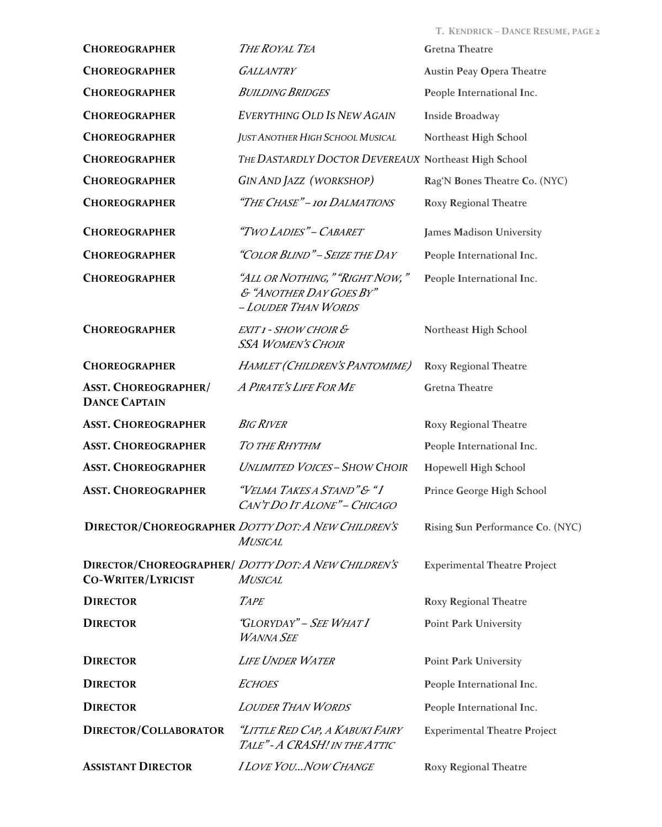|                                                     |                                                                                   | T. KENDRICK - DANCE RESUME, PAGE 2  |
|-----------------------------------------------------|-----------------------------------------------------------------------------------|-------------------------------------|
| <b>CHOREOGRAPHER</b>                                | THE ROYAL TEA                                                                     | <b>Gretna Theatre</b>               |
| <b>CHOREOGRAPHER</b>                                | <b>GALLANTRY</b>                                                                  | <b>Austin Peay Opera Theatre</b>    |
| <b>CHOREOGRAPHER</b>                                | <b>BUILDING BRIDGES</b>                                                           | People International Inc.           |
| <b>CHOREOGRAPHER</b>                                | <b>EVERYTHING OLD IS NEW AGAIN</b>                                                | Inside Broadway                     |
| <b>CHOREOGRAPHER</b>                                | JUST ANOTHER HIGH SCHOOL MUSICAL                                                  | Northeast High School               |
| <b>CHOREOGRAPHER</b>                                | THE DASTARDLY DOCTOR DEVEREAUX Northeast High School                              |                                     |
| <b>CHOREOGRAPHER</b>                                | <b>GIN AND JAZZ (WORKSHOP)</b>                                                    | Rag'N Bones Theatre Co. (NYC)       |
| <b>CHOREOGRAPHER</b>                                | "The Chase" - 101 Dalmations                                                      | Roxy Regional Theatre               |
| <b>CHOREOGRAPHER</b>                                | "Two Ladies" - Cabaret                                                            | James Madison University            |
| <b>CHOREOGRAPHER</b>                                | "COLOR BLIND" - SEIZE THE DAY                                                     | People International Inc.           |
| <b>CHOREOGRAPHER</b>                                | "All or Nothing, " "Right Now,"<br>& "ANOTHER DAY GOES BY"<br>- LOUDER THAN WORDS | People International Inc.           |
| <b>CHOREOGRAPHER</b>                                | EXIT 1 - SHOW CHOIR &<br><b>SSA WOMEN'S CHOIR</b>                                 | Northeast High School               |
| <b>CHOREOGRAPHER</b>                                | HAMLET (CHILDREN'S PANTOMIME)                                                     | Roxy Regional Theatre               |
| <b>ASST. CHOREOGRAPHER/</b><br><b>DANCE CAPTAIN</b> | A PIRATE'S LIFE FOR ME                                                            | <b>Gretna Theatre</b>               |
| <b>ASST. CHOREOGRAPHER</b>                          | <b>BIG RIVER</b>                                                                  | Roxy Regional Theatre               |
| <b>ASST. CHOREOGRAPHER</b>                          | TO THE RHYTHM                                                                     | People International Inc.           |
| <b>ASST. CHOREOGRAPHER</b>                          | <b>UNLIMITED VOICES-SHOW CHOIR</b>                                                | Hopewell High School                |
| <b>ASST. CHOREOGRAPHER</b>                          | "Velma Takes a Stand"& "I<br>CAN'T DO IT ALONE" - CHICAGO                         | Prince George High School           |
|                                                     | DIRECTOR/CHOREOGRAPHER DOTTY DOT: A NEW CHILDREN'S<br><b>MUSICAL</b>              | Rising Sun Performance Co. (NYC)    |
| <b>CO-WRITER/LYRICIST</b>                           | DIRECTOR/CHOREOGRAPHER/ DOTTY DOT: A NEW CHILDREN'S<br><b>MUSICAL</b>             | <b>Experimental Theatre Project</b> |
| <b>DIRECTOR</b>                                     | <b>TAPE</b>                                                                       | Roxy Regional Theatre               |
| <b>DIRECTOR</b>                                     | "GLORYDAY" – SEE WHAT I<br><b>WANNA SEE</b>                                       | Point Park University               |
| <b>DIRECTOR</b>                                     | <b>LIFE UNDER WATER</b>                                                           | Point Park University               |
| <b>DIRECTOR</b>                                     | ECHOES                                                                            | People International Inc.           |
| <b>DIRECTOR</b>                                     | <b>LOUDER THAN WORDS</b>                                                          | People International Inc.           |
| DIRECTOR/COLLABORATOR                               | "Little Red Cap, a Kabuki Fairy<br>TALE"-A CRASH! IN THE ATTIC                    | <b>Experimental Theatre Project</b> |
| <b>ASSISTANT DIRECTOR</b>                           | <b>ILOVE YOUNOW CHANGE</b>                                                        | Roxy Regional Theatre               |